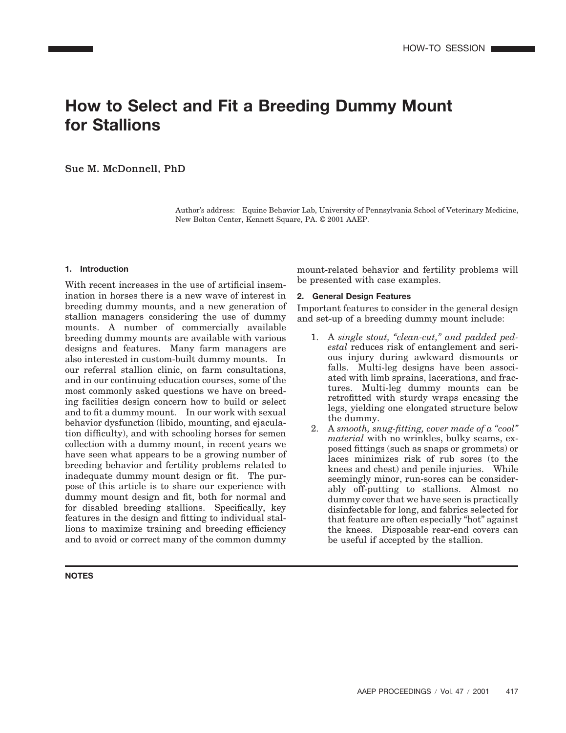# **How to Select and Fit a Breeding Dummy Mount for Stallions**

Sue M. McDonnell, PhD

Author's address: Equine Behavior Lab, University of Pennsylvania School of Veterinary Medicine, New Bolton Center, Kennett Square, PA. © 2001 AAEP.

## **1. Introduction**

With recent increases in the use of artificial insemination in horses there is a new wave of interest in breeding dummy mounts, and a new generation of stallion managers considering the use of dummy mounts. A number of commercially available breeding dummy mounts are available with various designs and features. Many farm managers are also interested in custom-built dummy mounts. In our referral stallion clinic, on farm consultations, and in our continuing education courses, some of the most commonly asked questions we have on breeding facilities design concern how to build or select and to fit a dummy mount. In our work with sexual behavior dysfunction (libido, mounting, and ejaculation difficulty), and with schooling horses for semen collection with a dummy mount, in recent years we have seen what appears to be a growing number of breeding behavior and fertility problems related to inadequate dummy mount design or fit. The purpose of this article is to share our experience with dummy mount design and fit, both for normal and for disabled breeding stallions. Specifically, key features in the design and fitting to individual stallions to maximize training and breeding efficiency and to avoid or correct many of the common dummy

**NOTES**

mount-related behavior and fertility problems will be presented with case examples.

## **2. General Design Features**

Important features to consider in the general design and set-up of a breeding dummy mount include:

- 1. A *single stout, "clean-cut," and padded pedestal* reduces risk of entanglement and serious injury during awkward dismounts or falls. Multi-leg designs have been associated with limb sprains, lacerations, and fractures. Multi-leg dummy mounts can be retrofitted with sturdy wraps encasing the legs, yielding one elongated structure below the dummy.
- 2. A *smooth, snug-fitting, cover made of a "cool" material* with no wrinkles, bulky seams, exposed fittings (such as snaps or grommets) or laces minimizes risk of rub sores (to the knees and chest) and penile injuries. While seemingly minor, run-sores can be considerably off-putting to stallions. Almost no dummy cover that we have seen is practically disinfectable for long, and fabrics selected for that feature are often especially "hot" against the knees. Disposable rear-end covers can be useful if accepted by the stallion.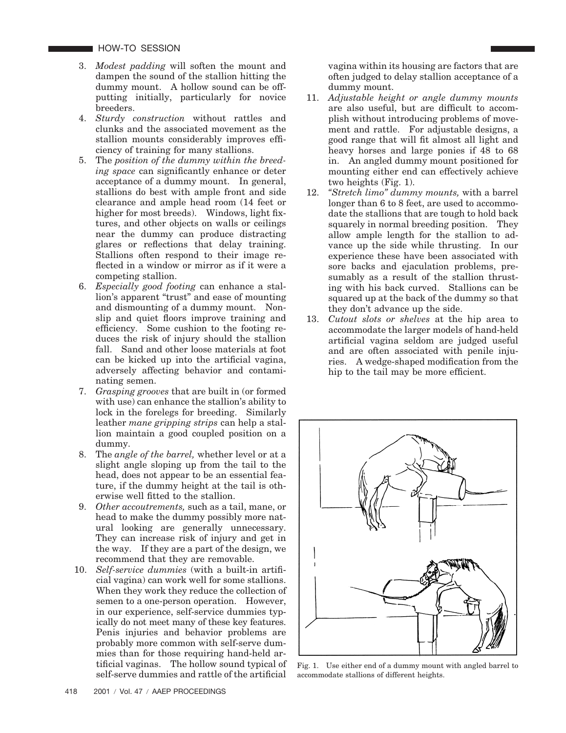HOW-TO SESSION

- 3. *Modest padding* will soften the mount and dampen the sound of the stallion hitting the dummy mount. A hollow sound can be offputting initially, particularly for novice breeders.
- 4. *Sturdy construction* without rattles and clunks and the associated movement as the stallion mounts considerably improves efficiency of training for many stallions.
- 5. The *position of the dummy within the breeding space* can significantly enhance or deter acceptance of a dummy mount. In general, stallions do best with ample front and side clearance and ample head room (14 feet or higher for most breeds). Windows, light fixtures, and other objects on walls or ceilings near the dummy can produce distracting glares or reflections that delay training. Stallions often respond to their image reflected in a window or mirror as if it were a competing stallion.
- 6. *Especially good footing* can enhance a stallion's apparent "trust" and ease of mounting and dismounting of a dummy mount. Nonslip and quiet floors improve training and efficiency. Some cushion to the footing reduces the risk of injury should the stallion fall. Sand and other loose materials at foot can be kicked up into the artificial vagina, adversely affecting behavior and contaminating semen.
- 7. *Grasping grooves* that are built in (or formed with use) can enhance the stallion's ability to lock in the forelegs for breeding. Similarly leather *mane gripping strips* can help a stallion maintain a good coupled position on a dummy.
- 8. The *angle of the barrel,* whether level or at a slight angle sloping up from the tail to the head, does not appear to be an essential feature, if the dummy height at the tail is otherwise well fitted to the stallion.
- 9. *Other accoutrements,* such as a tail, mane, or head to make the dummy possibly more natural looking are generally unnecessary. They can increase risk of injury and get in the way. If they are a part of the design, we recommend that they are removable.
- 10. *Self-service dummies* (with a built-in artificial vagina) can work well for some stallions. When they work they reduce the collection of semen to a one-person operation. However, in our experience, self-service dummies typically do not meet many of these key features. Penis injuries and behavior problems are probably more common with self-serve dummies than for those requiring hand-held artificial vaginas. The hollow sound typical of self-serve dummies and rattle of the artificial

vagina within its housing are factors that are often judged to delay stallion acceptance of a dummy mount.

- 11. *Adjustable height or angle dummy mounts* are also useful, but are difficult to accomplish without introducing problems of movement and rattle. For adjustable designs, a good range that will fit almost all light and heavy horses and large ponies if 48 to 68 in. An angled dummy mount positioned for mounting either end can effectively achieve two heights (Fig. 1).
- 12. *"Stretch limo" dummy mounts,* with a barrel longer than 6 to 8 feet, are used to accommodate the stallions that are tough to hold back squarely in normal breeding position. They allow ample length for the stallion to advance up the side while thrusting. In our experience these have been associated with sore backs and ejaculation problems, presumably as a result of the stallion thrusting with his back curved. Stallions can be squared up at the back of the dummy so that they don't advance up the side.
- 13. *Cutout slots or shelves* at the hip area to accommodate the larger models of hand-held artificial vagina seldom are judged useful and are often associated with penile injuries. A wedge-shaped modification from the hip to the tail may be more efficient.



Fig. 1. Use either end of a dummy mount with angled barrel to accommodate stallions of different heights.